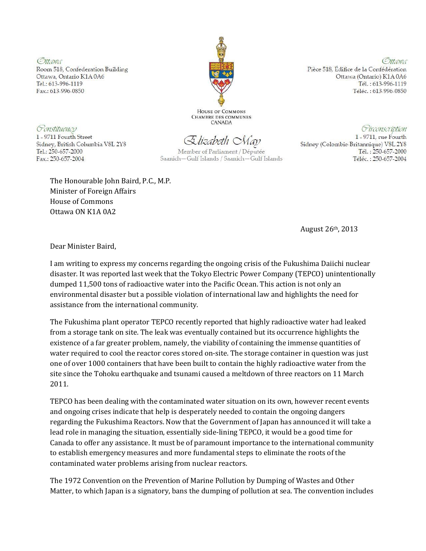Ottawa Room 518, Confederation Building Ottawa, Ontario K1A0A6 Tel.: 613-996-1119 Fax.: 613-996-0850

HOUSE OF COMMONS **CHAMBRE DES COMMUNES CANADA** 

Ottawa Pièce 518, Édifice de la Confédération Ottawa (Ontario) K1A 0A6 Tél.: 613-996-1119 Téléc.: 613-996-0850

Sidney (Colombie-Britannique) V8L 2Y8

Circonscription

1 - 9711, rue Fourth

Tél.: 250-657-2000

Téléc.: 250-657-2004

Constituency 1 - 9711 Fourth Street Sidney, British Columbia V8L 2Y8 Tel.: 250-657-2000

Fax.: 250-657-2004

Elizabeth *May* 

Member of Parliament / Députée Saanich-Gulf Islands / Saanich-Gulf Islands

The Honourable John Baird, P.C., M.P. Minister of Foreign Affairs House of Commons Ottawa ON K1A 0A2

August 26th, 2013

Dear Minister Baird,

I am writing to express my concerns regarding the ongoing crisis of the Fukushima Daiichi nuclear disaster. It was reported last week that the Tokyo Electric Power Company (TEPCO) unintentionally dumped 11,500 tons of radioactive water into the Pacific Ocean. This action is not only an environmental disaster but a possible violation of international law and highlights the need for assistance from the international community.

The Fukushima plant operator TEPCO recently reported that highly radioactive water had leaked from a storage tank on site. The leak was eventually contained but its occurrence highlights the existence of a far greater problem, namely, the viability of containing the immense quantities of water required to cool the reactor cores stored on-site. The storage container in question was just one of over 1000 containers that have been built to contain the highly radioactive water from the site since the Tohoku earthquake and tsunami caused a meltdown of three reactors on 11 March 2011.

TEPCO has been dealing with the contaminated water situation on its own, however recent events and ongoing crises indicate that help is desperately needed to contain the ongoing dangers regarding the Fukushima Reactors. Now that the Government of Japan has announced it will take a lead role in managing the situation, essentially side-lining TEPCO, it would be a good time for Canada to offer any assistance. It must be of paramount importance to the international community to establish emergency measures and more fundamental steps to eliminate the roots of the contaminated water problems arising from nuclear reactors.

The 1972 Convention on the Prevention of Marine Pollution by Dumping of Wastes and Other Matter, to which Japan is a signatory, bans the dumping of pollution at sea. The convention includes